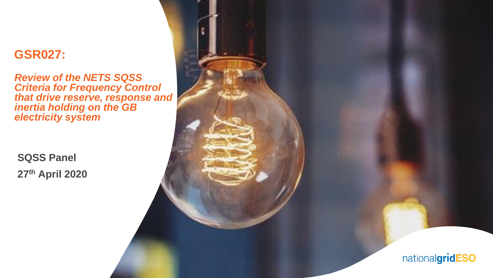### **GSR027:**

*Review of the NETS SQSS Criteria for Frequency Control that drive reserve, response and inertia holding on the GB electricity system*

**SQSS Panel 27th April 2020**

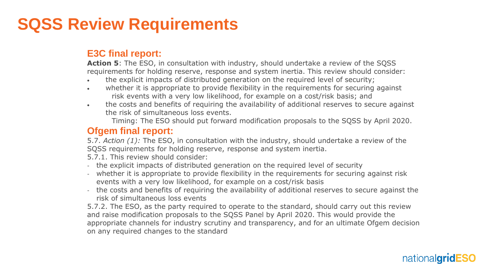## **SQSS Review Requirements**

#### **E3C final report:**

**Action 5**: The ESO, in consultation with industry, should undertake a review of the SQSS requirements for holding reserve, response and system inertia. This review should consider:

- the explicit impacts of distributed generation on the required level of security;
- whether it is appropriate to provide flexibility in the requirements for securing against risk events with a very low likelihood, for example on a cost/risk basis; and
- the costs and benefits of requiring the availability of additional reserves to secure against the risk of simultaneous loss events.

Timing: The ESO should put forward modification proposals to the SQSS by April 2020.

#### **Ofgem final report:**

5.7. *Action (1):* The ESO, in consultation with the industry, should undertake a review of the SQSS requirements for holding reserve, response and system inertia.

5.7.1. This review should consider:

- the explicit impacts of distributed generation on the required level of security
- whether it is appropriate to provide flexibility in the requirements for securing against risk events with a very low likelihood, for example on a cost/risk basis
- the costs and benefits of requiring the availability of additional reserves to secure against the risk of simultaneous loss events

5.7.2. The ESO, as the party required to operate to the standard, should carry out this review and raise modification proposals to the SQSS Panel by April 2020. This would provide the appropriate channels for industry scrutiny and transparency, and for an ultimate Ofgem decision on any required changes to the standard

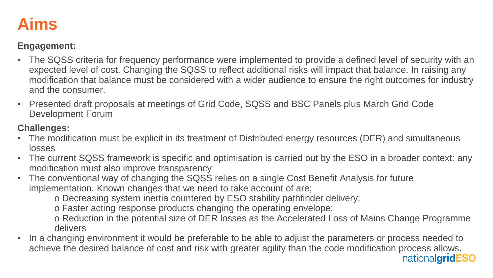

#### **Engagement:**

- The SQSS criteria for frequency performance were implemented to provide a defined level of security with an expected level of cost. Changing the SQSS to reflect additional risks will impact that balance. In raising any modification that balance must be considered with a wider audience to ensure the right outcomes for industry and the consumer.
- Presented draft proposals at meetings of Grid Code, SQSS and BSC Panels plus March Grid Code Development Forum

#### **Challenges:**

- The modification must be explicit in its treatment of Distributed energy resources (DER) and simultaneous losses
- The current SQSS framework is specific and optimisation is carried out by the ESO in a broader context: any modification must also improve transparency
- The conventional way of changing the SQSS relies on a single Cost Benefit Analysis for future implementation. Known changes that we need to take account of are;

o Decreasing system inertia countered by ESO stability pathfinder delivery;

o Faster acting response products changing the operating envelope;

o Reduction in the potential size of DER losses as the Accelerated Loss of Mains Change Programme delivers

• In a changing environment it would be preferable to be able to adjust the parameters or process needed to achieve the desired balance of cost and risk with greater agility than the code modification process allows.national**gridESO**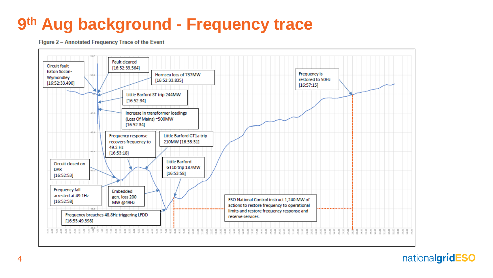# 9th Aug background - Frequency trace

Figure 2 - Annotated Frequency Trace of the Event



nationalgridESO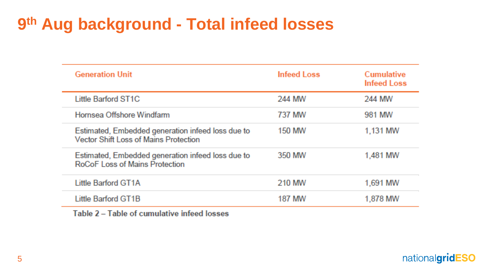## 9th Aug background - Total infeed losses

| <b>Infeed Loss</b> | Cumulative<br><b>Infeed Loss</b> |
|--------------------|----------------------------------|
| 244 MW             | 244 MW                           |
| 737 MW             | 981 MW                           |
| <b>150 MW</b>      | 1.131 MW                         |
| 350 MW             | 1,481 MW                         |
| 210 MW             | 1,691 MW                         |
| 187 MW             | 1,878 MW                         |
|                    |                                  |

Table 2 - Table of cumulative infeed losses

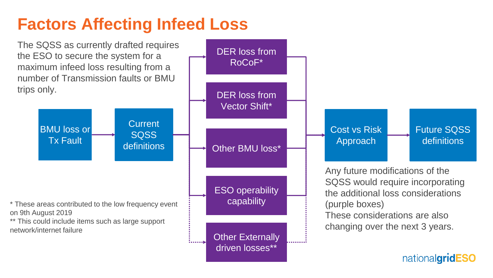# **Factors Affecting Infeed Loss**



Other Externally driven losses\*\*

:<br>:......**,** 

on 9th August 2019

\*\* This could include items such as large support network/internet failure

Cost vs Risk Approach Any future modifications of the SQSS would require incorporating the additional loss considerations (purple boxes) These considerations are also changing over the next 3 years. Future SQSS definitions

nationalgridESO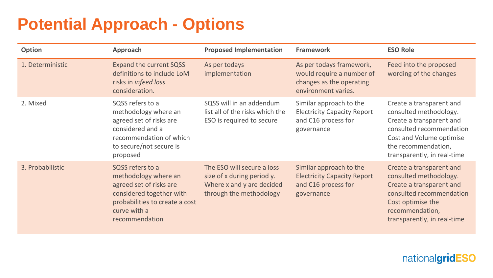# **Potential Approach - Options**

| <b>Option</b>    | Approach                                                                                                                                                            | <b>Proposed Implementation</b>                                                                                   | <b>Framework</b>                                                                                         | <b>ESO Role</b>                                                                                                                                                                              |
|------------------|---------------------------------------------------------------------------------------------------------------------------------------------------------------------|------------------------------------------------------------------------------------------------------------------|----------------------------------------------------------------------------------------------------------|----------------------------------------------------------------------------------------------------------------------------------------------------------------------------------------------|
| 1. Deterministic | <b>Expand the current SQSS</b><br>definitions to include LoM<br>risks in <i>infeed loss</i><br>consideration.                                                       | As per todays<br>implementation                                                                                  | As per todays framework,<br>would require a number of<br>changes as the operating<br>environment varies. | Feed into the proposed<br>wording of the changes                                                                                                                                             |
| 2. Mixed         | SQSS refers to a<br>methodology where an<br>agreed set of risks are<br>considered and a<br>recommendation of which<br>to secure/not secure is<br>proposed           | SQSS will in an addendum<br>list all of the risks which the<br>ESO is required to secure                         | Similar approach to the<br><b>Electricity Capacity Report</b><br>and C16 process for<br>governance       | Create a transparent and<br>consulted methodology.<br>Create a transparent and<br>consulted recommendation<br>Cost and Volume optimise<br>the recommendation,<br>transparently, in real-time |
| 3. Probabilistic | SQSS refers to a<br>methodology where an<br>agreed set of risks are<br>considered together with<br>probabilities to create a cost<br>curve with a<br>recommendation | The ESO will secure a loss<br>size of x during period y.<br>Where x and y are decided<br>through the methodology | Similar approach to the<br><b>Electricity Capacity Report</b><br>and C16 process for<br>governance       | Create a transparent and<br>consulted methodology.<br>Create a transparent and<br>consulted recommendation<br>Cost optimise the<br>recommendation,<br>transparently, in real-time            |

nationalgridESO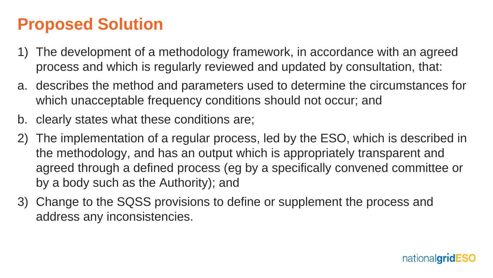## **Proposed Solution**

- 1) The development of a methodology framework, in accordance with an agreed process and which is regularly reviewed and updated by consultation, that:
- a. describes the method and parameters used to determine the circumstances for which unacceptable frequency conditions should not occur; and
- b. clearly states what these conditions are;
- 2) The implementation of a regular process, led by the ESO, which is described in the methodology, and has an output which is appropriately transparent and agreed through a defined process (eg by a specifically convened committee or by a body such as the Authority); and
- 3) Change to the SQSS provisions to define or supplement the process and address any inconsistencies.

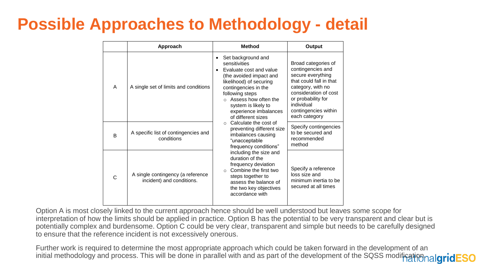# **Possible Approaches to Methodology - detail**

|   | Approach                                                       | <b>Method</b>                                                                                                                                                                                                                                                                                   | Output                                                                                                                                                                                                              |
|---|----------------------------------------------------------------|-------------------------------------------------------------------------------------------------------------------------------------------------------------------------------------------------------------------------------------------------------------------------------------------------|---------------------------------------------------------------------------------------------------------------------------------------------------------------------------------------------------------------------|
| A | A single set of limits and conditions                          | Set background and<br>$\bullet$<br>sensitivities<br>Evaluate cost and value<br>$\bullet$<br>(the avoided impact and<br>likelihood) of securing<br>contingencies in the<br>following steps<br>$\circ$ Assess how often the<br>system is likely to<br>experience imbalances<br>of different sizes | Broad categories of<br>contingencies and<br>secure everything<br>that could fall in that<br>category, with no<br>consideration of cost<br>or probability for<br>individual<br>contingencies within<br>each category |
| B | A specific list of contingencies and<br>conditions             | Calculate the cost of<br>$\cap$<br>preventing different size<br>imbalances causing<br>"unacceptable<br>frequency conditions"                                                                                                                                                                    | Specify contingencies<br>to be secured and<br>recommended<br>method                                                                                                                                                 |
| Ċ | A single contingency (a reference<br>incident) and conditions. | including the size and<br>duration of the<br>frequency deviation<br>Combine the first two<br>steps together to<br>assess the balance of<br>the two key objectives<br>accordance with                                                                                                            | Specify a reference<br>loss size and<br>minimum inertia to be<br>secured at all times                                                                                                                               |

Option A is most closely linked to the current approach hence should be well understood but leaves some scope for interpretation of how the limits should be applied in practice. Option B has the potential to be very transparent and clear but is potentially complex and burdensome. Option C could be very clear, transparent and simple but needs to be carefully designed to ensure that the reference incident is not excessively onerous.

Further work is required to determine the most appropriate approach which could be taken forward in the development of an initial methodology and process. This will be done in parallel with and as part of the development of the SQSS modification.algridESO